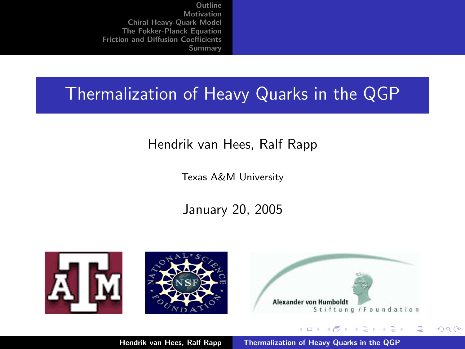# Thermalization of Heavy Quarks in the QGP

#### Hendrik van Hees, Ralf Rapp

Texas A&M University

#### January 20, 2005







K ロ ⊁ K 倒 ≯ K ミ ⊁ K ミ ⊁

哇

<span id="page-0-0"></span> $2Q$ 

Hendrik van Hees, Ralf Rapp [Thermalization of Heavy Quarks in the QGP](#page-28-0)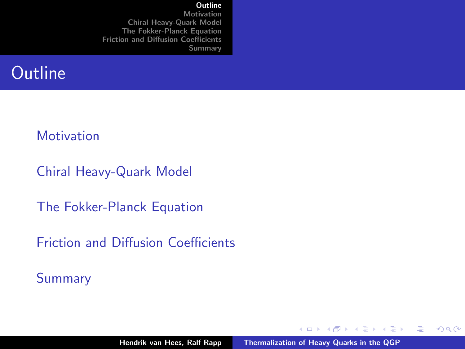#### **[Outline](#page-1-0)**

[Motivation](#page-2-0) [Chiral Heavy-Quark Model](#page-5-0) [The Fokker-Planck Equation](#page-15-0) [Friction and Diffusion Coefficients](#page-17-0) [Summary](#page-27-0)

# **Outline**

#### **[Motivation](#page-2-0)**

[Chiral Heavy-Quark Model](#page-5-0)

[The Fokker-Planck Equation](#page-15-0)

[Friction and Diffusion Coefficients](#page-17-0)

[Summary](#page-27-0)

K ロ ⊁ K 倒 ≯ K ミ ⊁ K ミ ⊁

<span id="page-1-0"></span>哇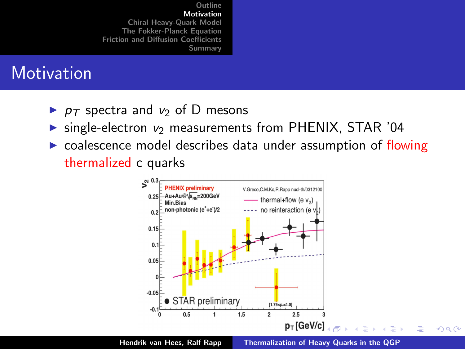# **Motivation**

- $\triangleright$   $p_T$  spectra and  $v_2$  of D mesons
- $\triangleright$  single-electron  $v_2$  measurements from PHENIX, STAR '04
- $\triangleright$  coalescence model describes data under assumption of flowing thermalized c quarks

<span id="page-2-0"></span>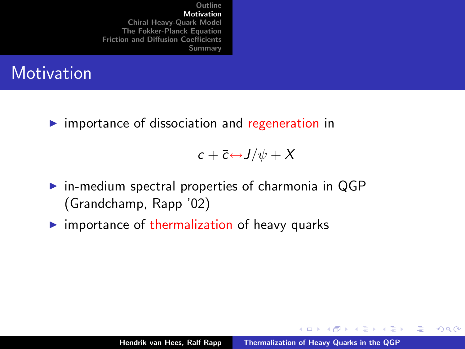

 $\triangleright$  importance of dissociation and regeneration in

 $c + \overline{c} \leftrightarrow J/\psi + X$ 

- $\triangleright$  in-medium spectral properties of charmonia in QGP (Grandchamp, Rapp '02)
- $\triangleright$  importance of thermalization of heavy quarks

K ロ ⊁ K 倒 ≯ K ミ ⊁ K ミ ⊁

哇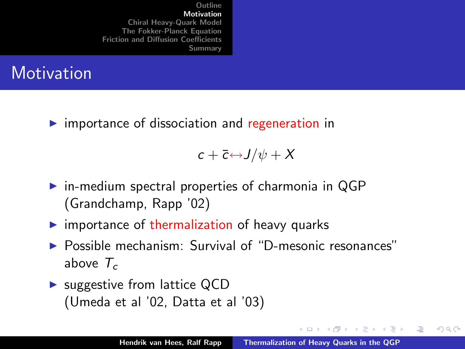

 $\triangleright$  importance of dissociation and regeneration in

 $c + \overline{c} \leftrightarrow J/\psi + X$ 

- $\triangleright$  in-medium spectral properties of charmonia in QGP (Grandchamp, Rapp '02)
- $\triangleright$  importance of thermalization of heavy quarks
- <sup>I</sup> Possible mechanism: Survival of "D-mesonic resonances" above  $T_c$
- $\triangleright$  suggestive from lattice QCD (Umeda et al '02, Datta et al '03)

K ロ ⊁ K 倒 ≯ K ミ ⊁ K ミ ⊁

哇

<span id="page-4-0"></span>つくい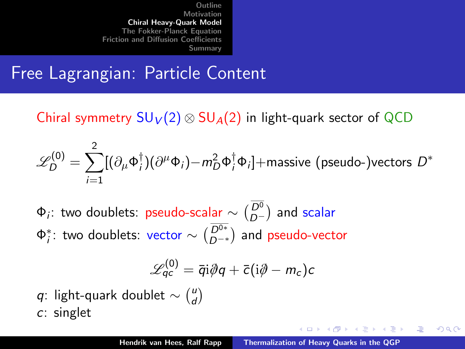Free Lagrangian: Particle Content

Chiral symmetry  $SU_V(2) \otimes SU_A(2)$  in light-quark sector of QCD

$$
\mathscr{L}_{D}^{(0)} = \sum_{i=1}^{2} [(\partial_{\mu} \Phi_{i}^{\dagger})(\partial^{\mu} \Phi_{i}) - m_{D}^{2} \Phi_{i}^{\dagger} \Phi_{i}] + \text{massive (pseudo-)vectors } D^{*}
$$

 $\Phi_i$ : two doublets: pseudo-scalar  $\sim \binom{D^0}{D^-}$  and scalar  $\Phi_i^*$ : two doublets: vector  $\sim \binom{D^{0*}}{D^{-*}}$  and pseudo-vector

$$
\mathscr{L}^{(0)}_{qc} = \bar{q}i\partial\!\!\!/\,q + \bar{c}(i\partial\!\!\!/-m_c)c
$$

q: light-quark doublet  $\sim \binom{u}{d}$  $\binom{u}{d}$ c: singlet

マーティ ミュース ミュ

哇

<span id="page-5-0"></span>つくい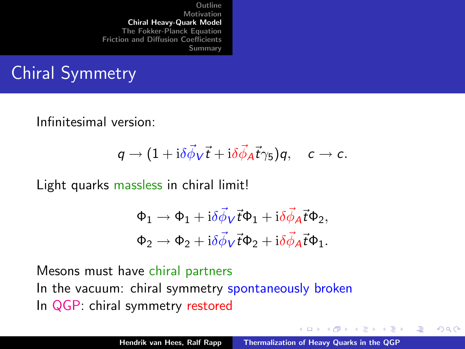# Chiral Symmetry

Infinitesimal version:

$$
q\to (1+\mathrm{i}\delta\vec{\phi}_V\vec{t}+\mathrm{i}\delta\vec{\phi}_A\vec{t}\gamma_5)q,\quad c\to c.
$$

Light quarks massless in chiral limit!

$$
\begin{aligned} \Phi_1 &\rightarrow \Phi_1 + {\rm i} \delta \vec{\phi}_V \vec{t} \Phi_1 + {\rm i} \delta \vec{\phi}_A \vec{t} \Phi_2, \\ \Phi_2 &\rightarrow \Phi_2 + {\rm i} \delta \vec{\phi}_V \vec{t} \Phi_2 + {\rm i} \delta \vec{\phi}_A \vec{t} \Phi_1. \end{aligned}
$$

Mesons must have chiral partners In the vacuum: chiral symmetry spontaneously broken In QGP: chiral symmetry restored

K ロ ⊁ K 倒 ≯ K ミ ⊁ K ミ ⊁

哇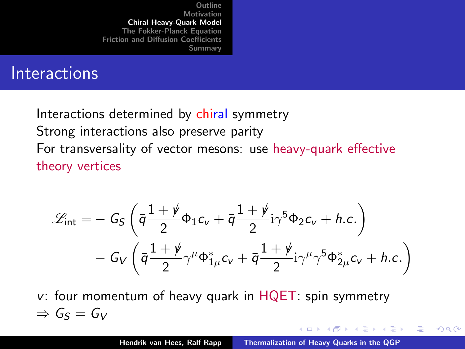# **Interactions**

Interactions determined by chiral symmetry Strong interactions also preserve parity For transversality of vector mesons: use heavy-quark effective theory vertices

$$
\mathcal{L}_{\text{int}} = -G_{S} \left( \bar{q} \frac{1+\dot{\psi}}{2} \Phi_{1} c_{v} + \bar{q} \frac{1+\dot{\psi}}{2} i \gamma^{5} \Phi_{2} c_{v} + h.c. \right) - G_{V} \left( \bar{q} \frac{1+\dot{\psi}}{2} \gamma^{\mu} \Phi_{1\mu}^{*} c_{v} + \bar{q} \frac{1+\dot{\psi}}{2} i \gamma^{\mu} \gamma^{5} \Phi_{2\mu}^{*} c_{v} + h.c. \right)
$$

 $v$ : four momentum of heavy quark in  $HQET$ : spin symmetry  $\Rightarrow$   $G_S = G_V$ 

K ロ ⊁ K 倒 ≯ K ミ ⊁ K ミ ⊁

<span id="page-7-0"></span>哇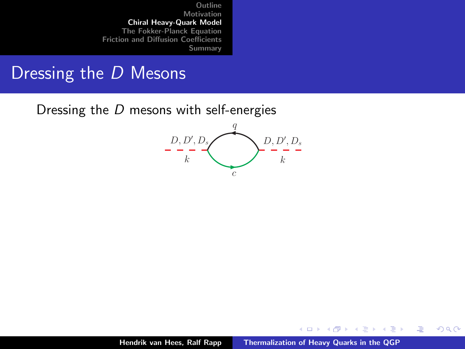#### Dressing the D Mesons

Dressing the D mesons with self-energies



K ロ ⊁ K 倒 ≯ K ミ ⊁ K ミ ⊁

<span id="page-8-0"></span>重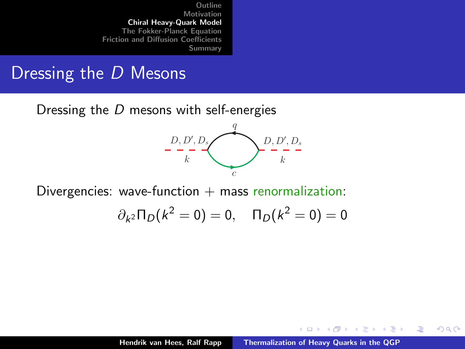#### Dressing the D Mesons

Dressing the D mesons with self-energies



Divergencies: wave-function  $+$  mass renormalization:

$$
\partial_{k^2} \Pi_D(k^2 = 0) = 0, \quad \Pi_D(k^2 = 0) = 0
$$

K ロ ⊁ K 倒 ≯ K ミ ⊁ K ミ ⊁

哇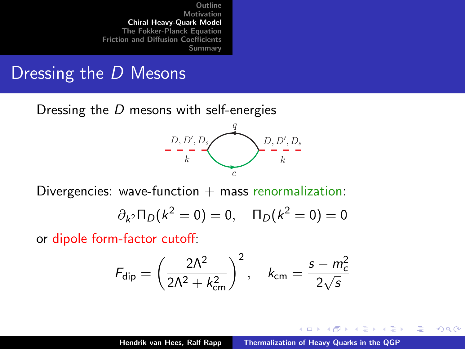#### Dressing the D Mesons

Dressing the D mesons with self-energies



Divergencies: wave-function  $+$  mass renormalization:

$$
\partial_{k^2} \Pi_D(k^2 = 0) = 0, \quad \Pi_D(k^2 = 0) = 0
$$

or dipole form-factor cutoff:

$$
F_{\text{dip}} = \left(\frac{2\Lambda^2}{2\Lambda^2 + k_{\text{cm}}^2}\right)^2, \quad k_{\text{cm}} = \frac{s - m_c^2}{2\sqrt{s}}
$$

a mills.

→ 伊 ▶ → ヨ ▶ → ヨ ▶

<span id="page-10-0"></span>哇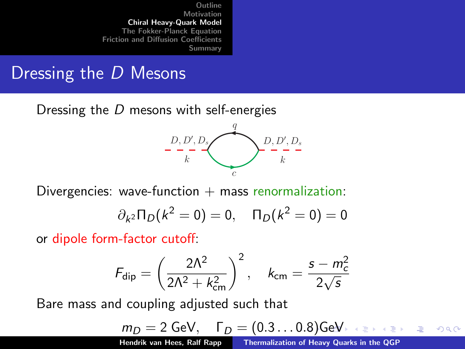# Dressing the D Mesons

Dressing the D mesons with self-energies



Divergencies: wave-function  $+$  mass renormalization:

$$
\partial_{k^2} \Pi_D(k^2 = 0) = 0, \quad \Pi_D(k^2 = 0) = 0
$$

or dipole form-factor cutoff:

$$
F_{\rm dip} = \left(\frac{2\Lambda^2}{2\Lambda^2 + k_{\rm cm}^2}\right)^2, \quad k_{\rm cm} = \frac{s - m_c^2}{2\sqrt{s}}
$$

Bare mass and coupling adjusted such that

$$
m_D = 2 \text{ GeV}, \quad \Gamma_D = (0.3 \dots 0.8) \text{ GeV} \iff \text{where } \quad \text{and} \quad \text{where}
$$

(from in-medium Bethe-Salpeter calculations) and the salpeter calculations) and the salpeter calculations (see

<span id="page-11-0"></span>**Hendrik van Hees, Ralf Rapp [Thermalization of Heavy Quarks in the QGP](#page-0-0)**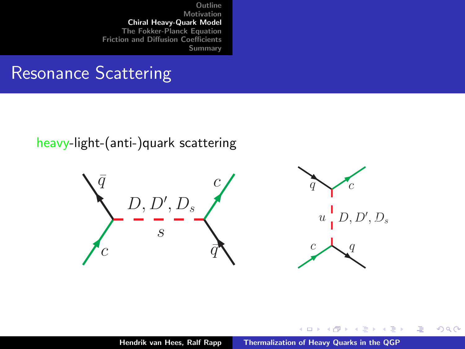# Resonance Scattering

heavy-light-(anti-)quark scattering



K ロ ⊁ K 倒 ≯ K ミ ⊁ K ミ ⊁

<span id="page-12-0"></span>哇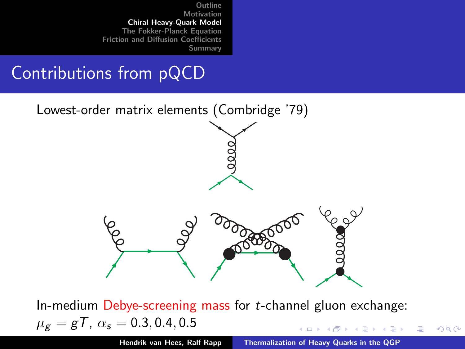# Contributions from pQCD



In-medium Debye-screening mass for  $t$ -channel gluon exchange:  $\mu_{\rm g} = gT$ ,  $\alpha_{\rm s} = 0.3, 0.4, 0.5$ - オーバー オーバー エー・エー・エー  $4.17 \times$ 

Hendrik van Hees, Ralf Rapp [Thermalization of Heavy Quarks in the QGP](#page-0-0)

 $\Omega$ 

<span id="page-13-0"></span>哇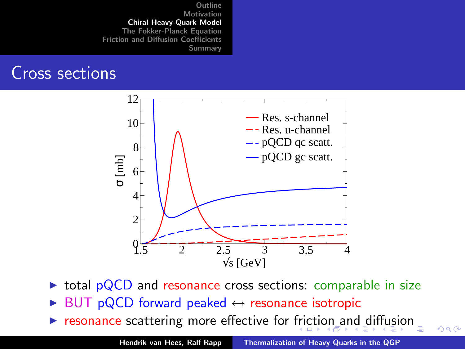#### Cross sections



- $\triangleright$  total pQCD and resonance cross sections: comparable in size
- BUT pQCD forward peaked  $\leftrightarrow$  resonance isotropic
- $\triangleright$  $\triangleright$  $\triangleright$  $\triangleright$  $\triangleright$  resonance scattering more effective for [fric](#page-13-0)[ti](#page-15-0)[o](#page-15-0)[n a](#page-14-0)n[d](#page-4-0) [d](#page-14-0)i[ff](#page-4-0)[u](#page-5-0)[si](#page-14-0)on

<span id="page-14-0"></span>Hendrik van Hees, Ralf Rapp [Thermalization of Heavy Quarks in the QGP](#page-0-0)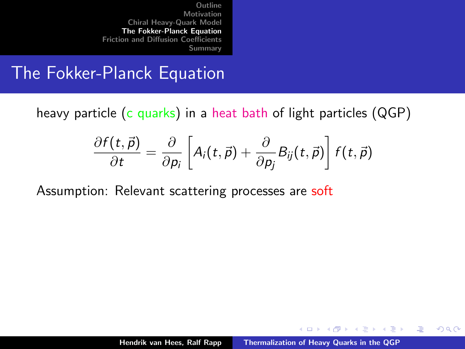#### The Fokker-Planck Equation

heavy particle (c quarks) in a heat bath of light particles (QGP)

$$
\frac{\partial f(t,\vec{p})}{\partial t} = \frac{\partial}{\partial p_i} \left[ A_i(t,\vec{p}) + \frac{\partial}{\partial p_j} B_{ij}(t,\vec{p}) \right] f(t,\vec{p})
$$

Assumption: Relevant scattering processes are soft

イロト イ押 トイモト イモト

<span id="page-15-0"></span>哇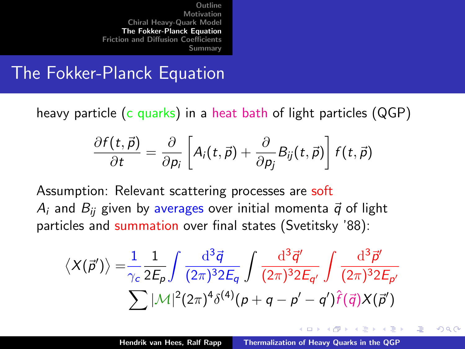#### The Fokker-Planck Equation

heavy particle (c quarks) in a heat bath of light particles (QGP)

$$
\frac{\partial f(t,\vec{p})}{\partial t} = \frac{\partial}{\partial p_i} \left[ A_i(t,\vec{p}) + \frac{\partial}{\partial p_j} B_{ij}(t,\vec{p}) \right] f(t,\vec{p})
$$

Assumption: Relevant scattering processes are soft  $A_i$  and  $B_{ii}$  given by averages over initial momenta  $\vec{q}$  of light particles and summation over final states (Svetitsky '88):

$$
\langle X(\vec{p}')\rangle = \frac{1}{\gamma_c} \frac{1}{2E_p} \int \frac{\mathrm{d}^3 \vec{q}}{(2\pi)^3 2E_q} \int \frac{\mathrm{d}^3 \vec{q}'}{(2\pi)^3 2E_{q'}} \int \frac{\mathrm{d}^3 \vec{p}'}{(2\pi)^3 2E_{p'}}
$$

$$
\sum |\mathcal{M}|^2 (2\pi)^4 \delta^{(4)}(p+q-p'-q')\hat{f}(\vec{q})X(\vec{p}')
$$

マーター マーティング

<span id="page-16-0"></span>つくい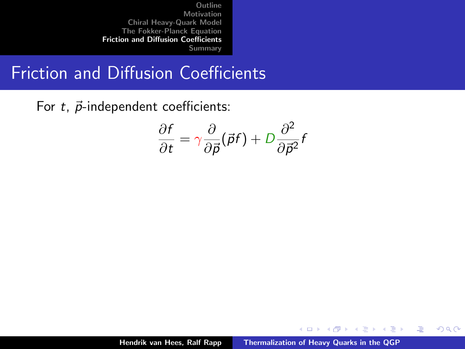Friction and Diffusion Coefficients

For  $t$ ,  $\vec{p}$ -independent coefficients:

$$
\frac{\partial f}{\partial t} = \gamma \frac{\partial}{\partial \vec{p}} (\vec{p}f) + D \frac{\partial^2}{\partial \vec{p}^2} f
$$

イロメ イ部メ イヨメ イヨメー

<span id="page-17-0"></span>哇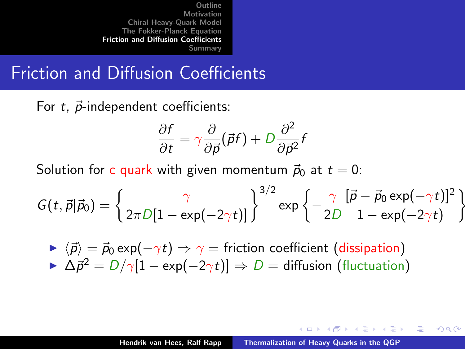# Friction and Diffusion Coefficients

For  $t$ ,  $\vec{p}$ -independent coefficients:

$$
\frac{\partial f}{\partial t} = \gamma \frac{\partial}{\partial \vec{p}} (\vec{p}f) + D \frac{\partial^2}{\partial \vec{p}^2} f
$$

Solution for c quark with given momentum  $\vec{p}_0$  at  $t = 0$ :

$$
G(t, \vec{p}|\vec{p}_0) = \left\{\frac{\gamma}{2\pi D[1 - \exp(-2\gamma t)]}\right\}^{3/2} \exp\left\{-\frac{\gamma}{2D} \frac{[\vec{p} - \vec{p}_0 \exp(-\gamma t)]^2}{1 - \exp(-2\gamma t)}\right\}
$$

 $\triangleright \langle \vec{p} \rangle = \vec{p}_0 \exp(-\gamma t) \Rightarrow \gamma =$  friction coefficient (dissipation)  $\triangleright$   $\Delta \vec{p}^2 = D/\gamma[1 - \exp(-2\gamma t)] \Rightarrow D =$  diffusion (fluctuation)

イロト イ押 トイモト イモト

<span id="page-18-0"></span>へのへ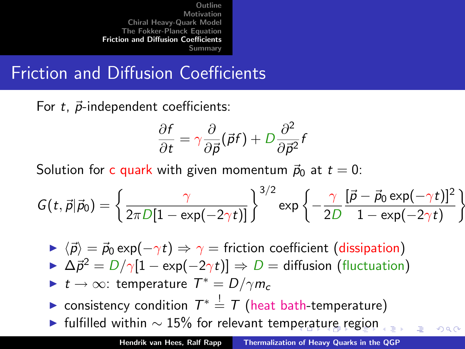Friction and Diffusion Coefficients

For  $t$ ,  $\vec{p}$ -independent coefficients:

$$
\frac{\partial f}{\partial t} = \gamma \frac{\partial}{\partial \vec{p}} (\vec{p}f) + D \frac{\partial^2}{\partial \vec{p}^2} f
$$

Solution for c quark with given momentum  $\vec{p}_0$  at  $t = 0$ :

$$
G(t, \vec{p}|\vec{p}_0) = \left\{\frac{\gamma}{2\pi D[1 - \exp(-2\gamma t)]}\right\}^{3/2} \exp\left\{-\frac{\gamma}{2D} \frac{[\vec{p} - \vec{p}_0 \exp(-\gamma t)]^2}{1 - \exp(-2\gamma t)}\right\}
$$

- $\triangleright \langle \vec{p} \rangle = \vec{p}_0 \exp(-\gamma t) \Rightarrow \gamma =$  friction coefficient (dissipation)
- $\triangleright$   $\Delta \vec{p}^2 = D/\gamma[1 \exp(-2\gamma t)] \Rightarrow D =$  diffusion (fluctuation)
- $\blacktriangleright$   $t \to \infty$ : temperature  $T^* = D/\gamma m_c$
- ► consistency condition  $T^* \stackrel{!}{=} T$  (heat bath-temperature)
- $\blacktriangleright$  $\blacktriangleright$  $\blacktriangleright$  $\blacktriangleright$  $\blacktriangleright$  fulfilled withi[n](#page-27-0)  $\sim$  15% for relevant tem[per](#page-18-0)[at](#page-20-0)[ur](#page-16-0)e [r](#page-20-0)[eg](#page-16-0)i[o](#page-26-0)n

<span id="page-19-0"></span>つQ へ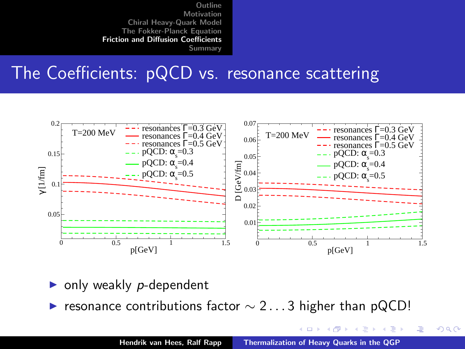#### The Coefficients: pQCD vs. resonance scattering



- only weakly  $p$ -dependent
- resonance contributions factor  $\sim$  2...3 higher than pQCD!

**K ロ ト K 倒 ト K ミ ト** 

<span id="page-20-0"></span>哇

一 4 (音)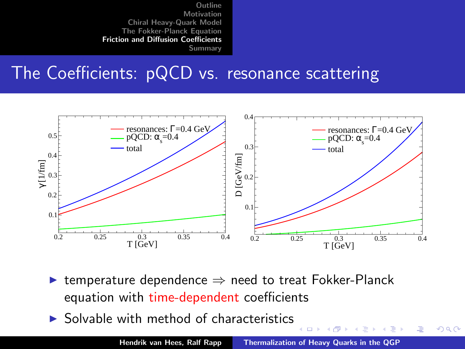# The Coefficients: pQCD vs. resonance scattering



- $\triangleright$  temperature dependence  $\Rightarrow$  need to treat Fokker-Planck equation with time-dependent coefficients
- $\triangleright$  Solvable with method of characteristics

一( 話)

4 m k

→ 伊 ▶ ∢ 重 **SIL**  唐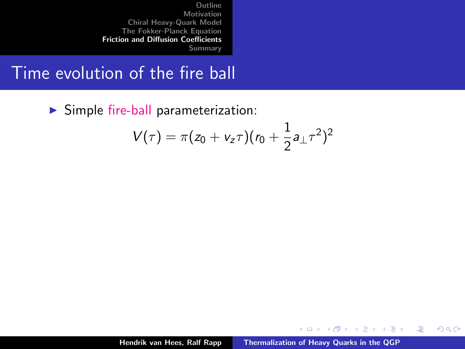Time evolution of the fire ball

 $\triangleright$  Simple fire-ball parameterization:

$$
V(\tau) = \pi (z_0 + v_z \tau) (r_0 + \frac{1}{2} a_{\perp} \tau^2)^2
$$

イロト イ押 トイモト イモト

重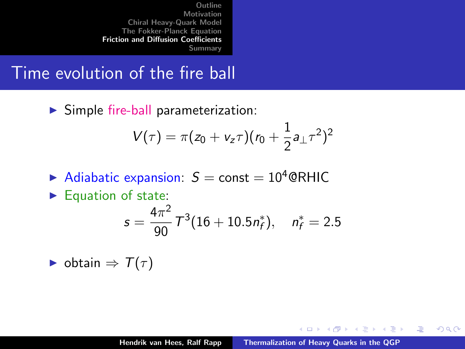Time evolution of the fire ball

 $\triangleright$  Simple fire-ball parameterization:

$$
V(\tau) = \pi (z_0 + v_z \tau) (r_0 + \frac{1}{2} a_{\perp} \tau^2)^2
$$

- Adiabatic expansion:  $S =$  const = 10<sup>4</sup> @RHIC
- $\blacktriangleright$  Equation of state:

$$
s = \frac{4\pi^2}{90}T^3(16+10.5n_f^*), \quad n_f^* = 2.5
$$

 $\triangleright$  obtain  $\Rightarrow$   $T(\tau)$ 

K ロ ⊁ K 倒 ≯ K ミ ⊁ K ミ ⊁

哇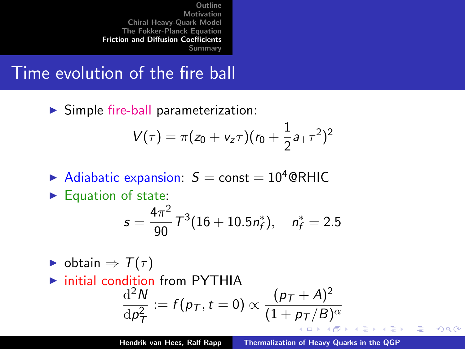Time evolution of the fire ball

 $\triangleright$  Simple fire-ball parameterization:

$$
V(\tau) = \pi (z_0 + v_z \tau) (r_0 + \frac{1}{2} a_{\perp} \tau^2)^2
$$

- Adiabatic expansion:  $S =$  const = 10<sup>4</sup> @RHIC
- $\blacktriangleright$  Equation of state:

$$
s = \frac{4\pi^2}{90}T^3(16+10.5n_f^*), \quad n_f^* = 2.5
$$

- $\triangleright$  obtain  $\Rightarrow$   $\mathcal{T}(\tau)$
- $\triangleright$  initial condition from PYTHIA  $d^2N$  $dp_T^2$  $:= f(p_T, t=0) \propto \frac{(p_T + A)^2}{(1 + r_T / B)}$  $(1+p_{\mathcal{T}}/B)^{\alpha}$

唐

へのへ

すきわ すきわ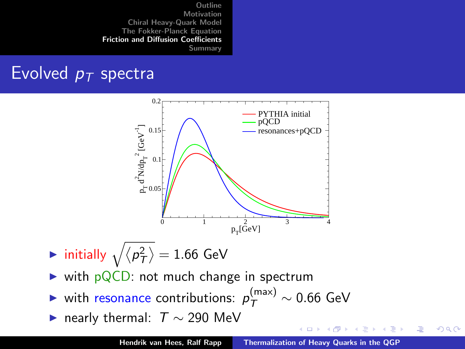# Evolved  $p_T$  spectra



- $\blacktriangleright$  initially  $\sqrt{\langle p_T^2 \rangle} = 1.66$  GeV
- $\triangleright$  with pQCD: not much change in spectrum
- ► with resonance contributions:  $p_{\mathcal{T}}^{(\text{max})} \sim 0.66$  GeV
- $\blacktriangleright$  nearly thermal:  $T \sim 290$  MeV

イロメ イ御メ イヨメ イヨメ

 $2Q$ 

哇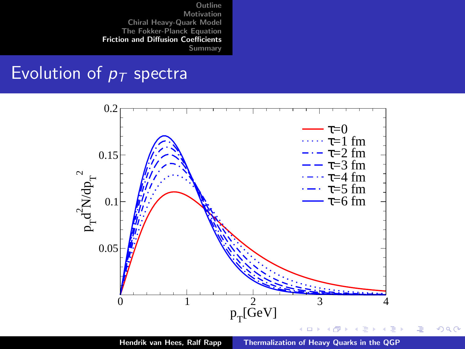#### Evolution of  $p_T$  spectra



<span id="page-26-0"></span>つへへ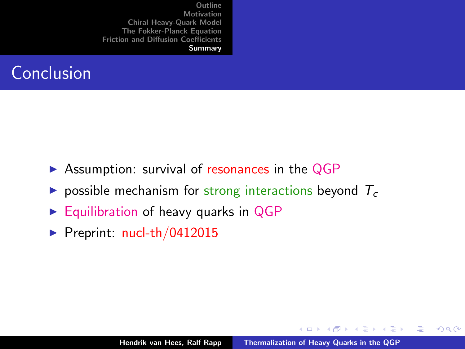

- $\triangleright$  Assumption: survival of resonances in the QGP
- possible mechanism for strong interactions beyond  $T_c$
- $\triangleright$  Equilibration of heavy quarks in QGP
- $\blacktriangleright$  Preprint: [nucl-th/0412015](http://arxiv.org/abs/nucl-th/0412015)

a mills.

→ 伊 ▶ → ヨ ▶ → ヨ ▶

<span id="page-27-0"></span>哇